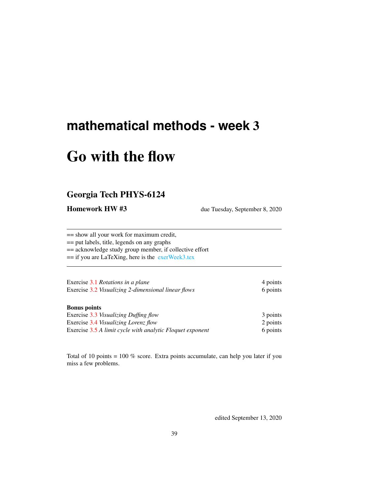## <span id="page-0-0"></span>**mathematical methods - week** 3

# Go with the flow

## Georgia Tech PHYS-6124

Homework HW #3 due Tuesday, September 8, 2020

== show all your work for maximum credit,

== put labels, title, legends on any graphs

== acknowledge study group member, if collective effort

== if you are LaTeXing, here is the [exerWeek3.tex](http://chaosbook.org/~predrag/courses/PHYS-6124-20/exerWeek3.tex)

| Exercise 3.1 Rotations in a plane                   | 4 points |
|-----------------------------------------------------|----------|
| Exercise 3.2 Visualizing 2-dimensional linear flows | 6 points |

### Bonus points

| Exercise 3.3 Visualizing Duffing flow                     | 3 points             |
|-----------------------------------------------------------|----------------------|
| Exercise 3.4 Visualizing Lorenz flow                      | 2 points<br>6 points |
| Exercise 3.5 A limit cycle with analytic Floquet exponent |                      |

Total of 10 points = 100 % score. Extra points accumulate, can help you later if you miss a few problems.

edited September 13, 2020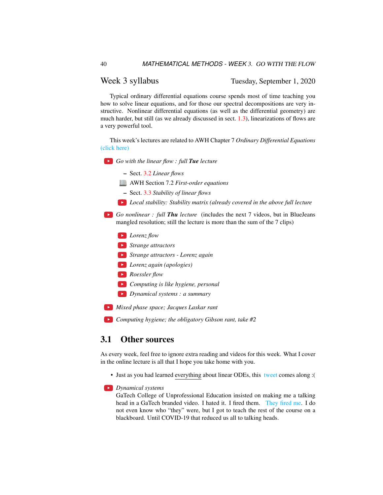### Week 3 syllabus Tuesday, September 1, 2020

Typical ordinary differential equations course spends most of time teaching you how to solve linear equations, and for those our spectral decompositions are very instructive. Nonlinear differential equations (as well as the differential geometry) are much harder, but still (as we already discussed in sect. [1.3\)](#page--1-0), linearizations of flows are a very powerful tool.

This week's lectures are related to AWH Chapter 7 *Ordinary Differential Equations* [\(click here\)](http://ChaosBook.org/library/ArWeHa13chap7ODEs.pdf)

*Go with the linear flow : full Tue lecture*

– Sect. [3.2](#page-2-0) *Linear flows*

AWH Section 7.2 *First-order equations*

- Sect. [3.3](#page-3-0) *Stability of linear flows*
- *Local stability: Stability matrix (already covered in the above full lecture*

*Go nonlinear : full Thu lecture* (includes the next 7 videos, but in BlueJeans mangled resolution; still the lecture is more than the sum of the 7 clips)

- *Lorenz flow*
- *Strange attractors*
- *Strange attractors Lorenz again*
- *Lorenz again (apologies)*
- *Roessler flow*
- *Computing is like hygiene, personal*
- *Dynamical systems : a summary*
- *Mixed phase space; Jacques Laskar rant*

*Computing hygiene; the obligatory Gibson rant, take #2*

### 3.1 Other sources

As every week, feel free to ignore extra reading and videos for this week. What I cover in the online lecture is all that I hope you take home with you.

• Just as you had learned everything about linear ODEs, this [tweet](https://twitter.com/Francis16833887/status/1300940915318681600) comes along :(

#### *Dynamical systems*

GaTech College of Unprofessional Education insisted on making me a talking head in a GaTech branded video. I hated it. I fired them. [They fired me.](https://chaosbook.blogspot.com/2014/12/nonlinear-dynamics-course-taken-off.html) I do not even know who "they" were, but I got to teach the rest of the course on a blackboard. Until COVID-19 that reduced us all to talking heads.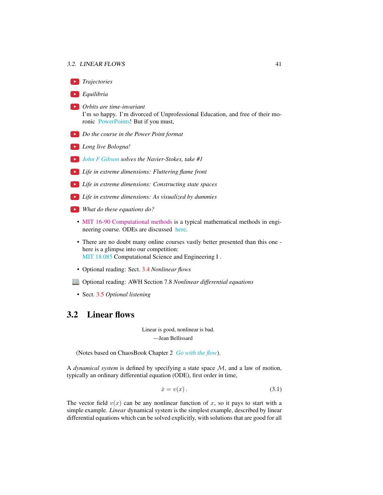#### 3.2. LINEAR FLOWS 41

*Trajectories Equilibria Orbits are time-invariant* I'm so happy. I'm divorced of Unprofessional Education, and free of their moronic [PowerPoints!](https://www.edwardtufte.com/tufte/books_pp) But if you must, *Do the course in the Power Point format Long live Bologna! [John F Gibson](https://ceps.unh.edu/person/john-gibson) solves the Navier-Stokes, take #1 Life in extreme dimensions: Fluttering flame front Life in extreme dimensions: Constructing state spaces Life in extreme dimensions: As visualized by dummies What do these equations do?* • [MIT 16-90 Computational methods](#page-0-0) is a typical mathematical methods in engineering course. ODEs are discussed [here.](https://ocw.mit.edu/courses/aeronautics-and-astronautics/16-90-computational-methods-in-aerospace-engineering-spring-2014/numerical-integration-of-ordinary-differential-equations/) • There are no doubt many online courses vastly better presented than this one here is a glimpse into our competition: [MIT 18.085](http://www.youtube.com/watch?v=0oBJN8F616U) Computational Science and Engineering I. • Optional reading: Sect. [3.4](#page-6-0) *Nonlinear flows*

- Optional reading: AWH Section 7.8 *Nonlinear differential equations*
- Sect. [3.5](#page-7-1) *Optional listening*

### <span id="page-2-0"></span>3.2 Linear flows

Linear is good, nonlinear is bad. —Jean Bellissard

(Notes based on ChaosBook Chapter 2 *[Go with the flow](http://ChaosBook.org/chapters/ChaosBook.pdf#chapter.2)*).

A *dynamical system* is defined by specifying a state space M, and a law of motion, typically an ordinary differential equation (ODE), first order in time,

$$
\dot{x} = v(x). \tag{3.1}
$$

The vector field  $v(x)$  can be any nonlinear function of x, so it pays to start with a simple example. *Linear* dynamical system is the simplest example, described by linear differential equations which can be solved explicitly, with solutions that are good for all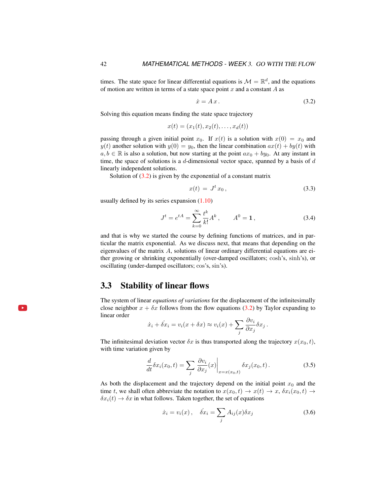times. The state space for linear differential equations is  $\mathcal{M} = \mathbb{R}^d$ , and the equations of motion are written in terms of a state space point  $x$  and a constant  $A$  as

<span id="page-3-1"></span>
$$
\dot{x} = A x. \tag{3.2}
$$

Solving this equation means finding the state space trajectory

$$
x(t) = (x_1(t), x_2(t), \dots, x_d(t))
$$

passing through a given initial point  $x_0$ . If  $x(t)$  is a solution with  $x(0) = x_0$  and  $y(t)$  another solution with  $y(0) = y_0$ , then the linear combination  $ax(t) + by(t)$  with  $a, b \in \mathbb{R}$  is also a solution, but now starting at the point  $ax_0 + by_0$ . At any instant in time, the space of solutions is a  $d$ -dimensional vector space, spanned by a basis of  $d$ linearly independent solutions.

Solution of  $(3.2)$  is given by the exponential of a constant matrix

$$
x(t) = Jt x0, \t\t(3.3)
$$

usually defined by its series expansion [\(1.10\)](#page--1-1)

$$
J^{t} = e^{tA} = \sum_{k=0}^{\infty} \frac{t^{k}}{k!} A^{k}, \qquad A^{0} = \mathbf{1}, \tag{3.4}
$$

and that is why we started the course by defining functions of matrices, and in particular the matrix exponential. As we discuss next, that means that depending on the eigenvalues of the matrix  $A$ , solutions of linear ordinary differential equations are either growing or shrinking exponentially (over-damped oscillators; cosh's, sinh's), or oscillating (under-damped oscillators; cos's, sin's).

### <span id="page-3-0"></span>3.3 Stability of linear flows

The system of linear *equations of variations* for the displacement of the infinitesimally close neighbor  $x + \delta x$  follows from the flow equations [\(3.2\)](#page-3-1) by Taylor expanding to linear order

$$
\dot{x}_i + \dot{\delta x}_i = v_i(x + \delta x) \approx v_i(x) + \sum_j \frac{\partial v_i}{\partial x_j} \delta x_j.
$$

The infinitesimal deviation vector  $\delta x$  is thus transported along the trajectory  $x(x_0, t)$ , with time variation given by

$$
\frac{d}{dt}\delta x_i(x_0, t) = \sum_j \left. \frac{\partial v_i}{\partial x_j}(x) \right|_{x = x(x_0, t)} \delta x_j(x_0, t).
$$
\n(3.5)

As both the displacement and the trajectory depend on the initial point  $x_0$  and the time t, we shall often abbreviate the notation to  $x(x_0, t) \rightarrow x(t) \rightarrow x$ ,  $\delta x_i(x_0, t) \rightarrow$  $\delta x_i(t) \rightarrow \delta x$  in what follows. Taken together, the set of equations

$$
\dot{x}_i = v_i(x), \quad \dot{\delta x}_i = \sum_j A_{ij}(x)\delta x_j \tag{3.6}
$$

l. ► i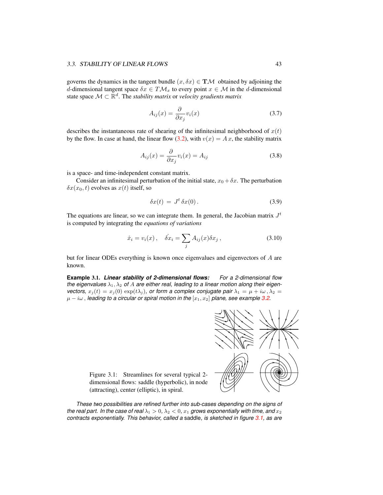#### 3.3. STABILITY OF LINEAR FLOWS 43

governs the dynamics in the tangent bundle  $(x, \delta x) \in T\mathcal{M}$  obtained by adjoining the d-dimensional tangent space  $\delta x \in T\mathcal{M}_x$  to every point  $x \in \mathcal{M}$  in the d-dimensional state space  $\mathcal{M} \subset \mathbb{R}^d$ . The *stability matrix* or *velocity gradients matrix* 

$$
A_{ij}(x) = \frac{\partial}{\partial x_j} v_i(x) \tag{3.7}
$$

describes the instantaneous rate of shearing of the infinitesimal neighborhood of  $x(t)$ by the flow. In case at hand, the linear flow [\(3.2\)](#page-3-1), with  $v(x) = Ax$ , the stability matrix

$$
A_{ij}(x) = \frac{\partial}{\partial x_j} v_i(x) = A_{ij}
$$
\n(3.8)

is a space- and time-independent constant matrix.

Consider an infinitesimal perturbation of the initial state,  $x_0 + \delta x$ . The perturbation  $\delta x(x_0, t)$  evolves as  $x(t)$  itself, so

$$
\delta x(t) = J^t \delta x(0). \tag{3.9}
$$

The equations are linear, so we can integrate them. In general, the Jacobian matrix  $J<sup>t</sup>$ is computed by integrating the *equations of variations*

$$
\dot{x}_i = v_i(x), \quad \dot{\delta x}_i = \sum_j A_{ij}(x) \delta x_j, \tag{3.10}
$$

but for linear ODEs everything is known once eigenvalues and eigenvectors of A are known.

**Example** 3.1. *Linear stability of 2-dimensional flows: For a 2-dimensional flow* the eigenvalues  $\lambda_1, \lambda_2$  of A are either real, leading to a linear motion along their eigen*vectors,*  $x_j(t) = x_j(0) \exp(t\lambda_j)$ , or form a complex conjugate pair  $\lambda_1 = \mu + i\omega$ ,  $\lambda_2 =$  $\mu - i\omega$ , *leading to a circular or spiral motion in the*  $[x_1, x_2]$  *plane, see example* [3.2.](#page-5-0)



<span id="page-4-0"></span>Figure 3.1: Streamlines for several typical 2 dimensional flows: saddle (hyperbolic), in node (attracting), center (elliptic), in spiral.

*These two possibilities are refined further into sub-cases depending on the signs of the real part. In the case of real*  $\lambda_1 > 0$ ,  $\lambda_2 < 0$ ,  $x_1$  *grows exponentially with time, and*  $x_2$ *contracts exponentially. This behavior, called a* saddle*, is sketched in figure [3.1,](#page-4-0) as are*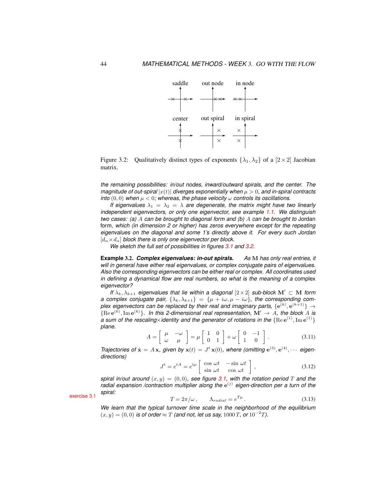

<span id="page-5-1"></span>Figure 3.2: Qualitatively distinct types of exponents  $\{\lambda_1, \lambda_2\}$  of a  $[2 \times 2]$  Jacobian matrix.

*the remaining possibilities: in/out nodes, inward/outward spirals, and the center. The magnitude of out-spiral*  $|x(t)|$  *diverges exponentially when*  $\mu > 0$ *, and in-spiral contracts into*  $(0,0)$  *when*  $\mu < 0$ *; whereas, the phase velocity*  $\omega$  *controls its oscillations.* 

*If eigenvalues*  $\lambda_1 = \lambda_2 = \lambda$  *are degenerate, the matrix might have two linearly independent eigenvectors, or only one eigenvector, see example [1.1.](#page--1-2) We distinguish two cases: (a)* A *can be brought to diagonal form and (b)* A *can be brought to* Jordan form*, which (in dimension 2 or higher) has zeros everywhere except for the repeating eigenvalues on the diagonal and some 1's directly above it. For every such Jordan*  $[d_{\alpha} \times d_{\alpha}]$  *block there is only one eigenvector per block.* 

*We sketch the full set of possibilities in figures [3.1](#page-4-0) and [3.2.](#page-5-1)*

<span id="page-5-0"></span>**Example** 3.2. *Complex eigenvalues: in-out spirals. As* M *has only real entries, it will in general have either real eigenvalues, or complex conjugate pairs of eigenvalues. Also the corresponding eigenvectors can be either real or complex. All coordinates used in defining a dynamical flow are real numbers, so what is the meaning of a* complex *eigenvector?*

*If*  $\lambda_k$ ,  $\lambda_{k+1}$  *eigenvalues that lie within a diagonal*  $[2 \times 2]$  *sub-block* M'  $\subset$  M *form a complex conjugate pair,*  $\{\lambda_k, \lambda_{k+1}\} = \{\mu + i\omega, \mu - i\omega\}$ , the corresponding complex eigenvectors can be replaced by their real and imaginary parts,  $\{{\bf e}^{(k)},{\bf e}^{(k+1)}\}\rightarrow$  ${Re}e^{(k)}, Im e^{(k)}\}$ . In this 2-dimensional real representation,  $\mathbf{M}' \to A$ , the block A is a sum of the rescaling×identity and the generator of rotations in the  $\{ \rm{Re}\, e^{(1)}, \rm{Im}\, e^{(1)} \}$ *plane.*

<span id="page-5-2"></span>
$$
A = \begin{bmatrix} \mu & -\omega \\ \omega & \mu \end{bmatrix} = \mu \begin{bmatrix} 1 & 0 \\ 0 & 1 \end{bmatrix} + \omega \begin{bmatrix} 0 & -1 \\ 1 & 0 \end{bmatrix}.
$$
 (3.11)

*Trajectories of*  $\dot{\mathbf{x}} = A\mathbf{x}$ , given by  $\mathbf{x}(t) = J^t \mathbf{x}(0)$ , where (omitting  $e^{(3)}$ ,  $e^{(4)}$ ,  $\cdots$  eigen*directions)*

$$
J^{t} = e^{tA} = e^{t\mu} \begin{bmatrix} \cos \omega t & -\sin \omega t \\ \sin \omega t & \cos \omega t \end{bmatrix},
$$
 (3.12)

*spiral in/out around*  $(x, y) = (0, 0)$ *, see figure* [3.1,](#page-4-0) with the rotation period T and the radial expansion /contraction multiplier along the  $e^{(j)}$  eigen-direction per a turn of the exercise [3.1](#page-7-0) *spiral:*  $T = 2\pi/\omega$ ,  $\Lambda_{radial} = e$ 

$$
T = 2\pi/\omega, \qquad \Lambda_{radial} = e^{T\mu}.
$$
 (3.13)

*We learn that the typical turnover time scale in the neighborhood of the equilibrium*  $(x, y) = (0, 0)$  *is of order*  $\approx T$  *(and not, let us say, 1000 T, or 10<sup>-2</sup>T).*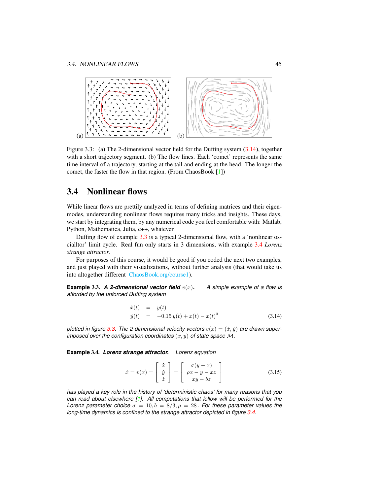

<span id="page-6-4"></span>Figure 3.3: (a) The 2-dimensional vector field for the Duffing system [\(3.14\)](#page-6-1), together with a short trajectory segment. (b) The flow lines. Each 'comet' represents the same time interval of a trajectory, starting at the tail and ending at the head. The longer the comet, the faster the flow in that region. (From ChaosBook [\[1\]](#page-7-2))

### <span id="page-6-0"></span>3.4 Nonlinear flows

While linear flows are prettily analyzed in terms of defining matrices and their eigenmodes, understanding nonlinear flows requires many tricks and insights. These days, we start by integrating them, by any numerical code you feel comfortable with: Matlab, Python, Mathematica, Julia, c++, whatever.

Duffing flow of example [3.3](#page-6-2) is a typical 2-dimensional flow, with a 'nonlinear oscialltor' limit cycle. Real fun only starts in 3 dimensions, with example [3.4](#page-6-3) *Lorenz strange attractor*.

For purposes of this course, it would be good if you coded the next two examples, and just played with their visualizations, without further analysis (that would take us into altogether different [ChaosBook.org/course1\)](http://ChaosBook.org/course1).

<span id="page-6-2"></span>**Example 3.3. A 2-dimensional vector field**  $v(x)$ . A simple example of a flow is *afforded by the unforced Duffing system*

<span id="page-6-1"></span>
$$
\begin{array}{rcl}\n\dot{x}(t) & = & y(t) \\
\dot{y}(t) & = & -0.15 \, y(t) + x(t) - x(t)^3\n\end{array} \tag{3.14}
$$

plotted in figure [3.3.](#page-6-4) The 2-dimensional velocity vectors  $v(x) = (x, y)$  are drawn super*imposed over the configuration coordinates*  $(x, y)$  *of state space*  $M$ .

<span id="page-6-3"></span>**Example** 3.4. *Lorenz strange attractor. Lorenz equation*

<span id="page-6-5"></span>
$$
\dot{x} = v(x) = \begin{bmatrix} \dot{x} \\ \dot{y} \\ \dot{z} \end{bmatrix} = \begin{bmatrix} \sigma(y-x) \\ \rho x - y - xz \\ xy - bz \end{bmatrix}
$$
(3.15)

*has played a key role in the history of 'deterministic chaos' for many reasons that you can read about elsewhere [\[1\]](#page-7-2). All computations that follow will be performed for the Lorenz parameter choice*  $\sigma = 10, b = 8/3, \rho = 28$ . *For these parameter values the long-time dynamics is confined to the strange attractor depicted in figure [3.4.](#page-7-3)*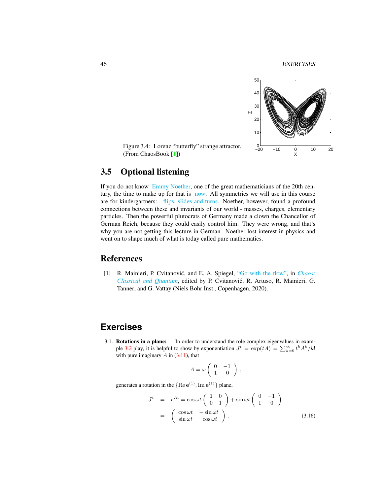46 EXERCISES



<span id="page-7-3"></span>Figure 3.4: Lorenz "butterfly" strange attractor. (From ChaosBook [\[1\]](#page-7-2))

### <span id="page-7-1"></span>3.5 Optional listening

If you do not know [Emmy Noether,](https://photos.app.goo.gl/2cWxT6j4kRLytrCQ8) one of the great mathematicians of the 20th century, the time to make up for that is [now.](https://www.bbc.co.uk/programmes/m00025bw) All symmetries we will use in this course are for kindergartners: [flips, slides and turns.](https://www.youtube.com/watch?v=A5u6J8WugyU) Noether, however, found a profound connections between these and invariants of our world - masses, charges, elementary particles. Then the powerful plutocrats of Germany made a clown the Chancellor of German Reich, because they could easily control him. They were wrong, and that's why you are not getting this lecture in German. Noether lost interest in physics and went on to shape much of what is today called pure mathematics.

### References

<span id="page-7-2"></span>[1] R. Mainieri, P. Cvitanović, and E. A. Spiegel, ["Go with the flow",](http://ChaosBook.org/paper.shtml#flows) in *[Chaos:](http://ChaosBook.org/paper.shtml#flows) [Classical and Quantum](http://ChaosBook.org/paper.shtml#flows)*, edited by P. Cvitanovic, R. Artuso, R. Mainieri, G. ´ Tanner, and G. Vattay (Niels Bohr Inst., Copenhagen, 2020).

## **Exercises**

<span id="page-7-0"></span>3.1. Rotations in a plane: In order to understand the role complex eigenvalues in exam-ple [3.2](#page-5-0) play, it is helpful to show by exponentiation  $J^t = \exp(tA) = \sum_{k=0}^{\infty} t^k A^k / k!$ with pure imaginary  $A$  in  $(3.11)$ , that

$$
A = \omega \left( \begin{array}{cc} 0 & -1 \\ 1 & 0 \end{array} \right) ,
$$

generates a rotation in the  ${Re e^{(1)}, Im e^{(1)}}$  plane,

$$
J^{t} = e^{At} = \cos \omega t \begin{pmatrix} 1 & 0 \\ 0 & 1 \end{pmatrix} + \sin \omega t \begin{pmatrix} 0 & -1 \\ 1 & 0 \end{pmatrix}
$$
  
= 
$$
\begin{pmatrix} \cos \omega t & -\sin \omega t \\ \sin \omega t & \cos \omega t \end{pmatrix}.
$$
 (3.16)